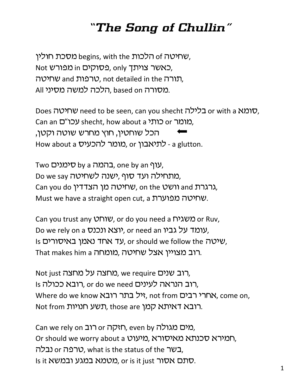## *"The Song of Chullin"*

שחיטה of הלכות begins, with the שחיטה of . Not באשר צויתך, only פסוקים, only תורה סוכנות, not detailed in the שחיטה, All מסורה. based on הלכה למשה מסיני.

Does שחיטה need to be seen, can you shecht שחיטה. Can an עכו"ט shecht, how about a מומר or כותי הכל שוחטיו, חוץ מחרש שוטה וקטו. How about a כ'תיאבון or מומר להכעיס, or כ'ת

Two עוף by a כהמה by an **סימנים**, one by an j Do we say טתחילה ועד סוף, ישנה לשחיטה, Can you do *וושט*, on the שחיטה מן הצדדין, and גרגרת, Must we have a straight open cut, a שחיטה מפוערת.

Can you trust any שוחט, or do you need a שמחט or Ruv, Do we rely on a יוצא ונכנס, or need an עומד על גביו, Is ואמן באיסורים. us שיטה should we follow the ivy, That makes him a רוב מצויין אצל שחיטה, מומחה

Not just רוב שנים, we require היב שנים, Is רוב הנראה לעינים, or do we need רובא ככולה, Where do we know ויל בתר רובא, not from D), אחרי רבים, רובא דאיתא קמן ,those are תשע חנויות, thot from

Can we rely on רוב or כאגולה, even by כאגולה. Or should we worry about a רומירא סכנתא מאיסורא, בשר or כלה, what is the status of the בשר $\mu$ , Is it מטמא במגע ובמשא. or is it just סתם אסור.<br>1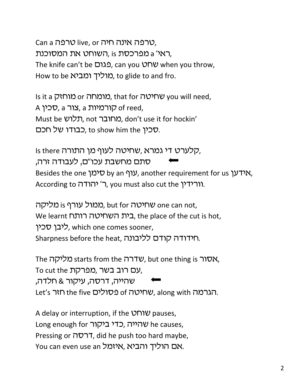Can a טרפה אינה חיה, ווער live, or ראי' a מפרכסת is ,השוחט את המסוכנת, The knife can't be בגום, can you שחט when you throw, How to be מוליך ומביא. to glide to and fro.

Is it a מומחה or ווא, that for שחיטה you will need, A קורמיות a zור, a קורמיות of reed, Must be במחובר, not תלוש, don't use it for hockin' סכין to show him the כבודו של חכם.

Is there קלערט די גמרא, שחיטה לעוף מן התורה, סתם מחשבת עכו"ם, לעבודה זרה, Besides the one ועוף by an שימן, another requirement for us ואידען, According to ר' יהודה, you must also cut the inf

ממול עורף is נאליקה, but for מאיטה, but for מאול We learnt **רית השחיטה רותח**, the place of the cut is hot, ליבו סכין, which one comes sooner, Sharpness before the heat, רוידודה קודם לליבונה.

The מליקה starts from the שדרה, but one thing is מליקה עם רוב בשר, מפרקת To cut the שהייה, דרסה, עיקור & חלדה, Let's הגרמה. שחיטה of טסולים the five הגרמה.

A delay or interruption, if the **VMW** pauses, Long enough for שהייה, כדי ביקור he causes, Pressing or  $\pi$ רסה, did he push too hard maybe, You can even use an איזמל, איזמל, והביא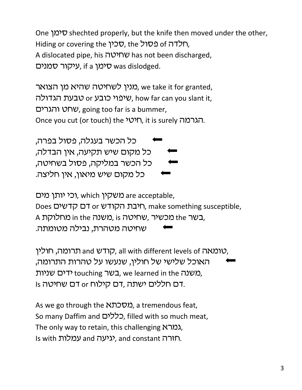One  $\mathcal{V}$  shechted properly, but the knife then moved under the other, Hiding or covering the יחלדה of כסול, the הא A dislocated pipe, his שחיטה has not been discharged, עיקור סמנים, if a עיהור שמנים, if a y

מנין לשחיטה שהיא מן הצואר, we take it for granted, שיפוי כובע or שיפוי, how far can you slant it, שחט והגרים, going too far is a bummer, Once you cut (or touch) the יראי, it is surely הגרמה.

'כל הכשר בעגלה, פסול בפרה, 'כל מקום שיש תקיעה, אין הבדלה, כל הכשר במליקה, פסול בשחיטה, כל מקום שיש מיאון, אין חליצה.

וכי יותן מים, which משקין, which וכי Does Does היבת הקודש or האבת האות), make something susceptible, A בשר the מכשיר, שחיטה in the כמשנה, is גם שחיטה מטהרת, נבילה מטומתה.

רומה, חולין, all with different levels of  $\nu$ ו $\nu$ , האוכל שלישי של חולין, שנעשו על טהרות התרומה, משנה touching רש, we learned in the משניות, Is חללים ישתה ,דם קילוח or דם שחיטה.

As we go through the *מסכתא*, a tremendous feat, So many Daffim and כללים, filled with so much meat, The only way to retain, this challenging  $\lambda$ מרא Is with עמלות and vx, and constant הארה,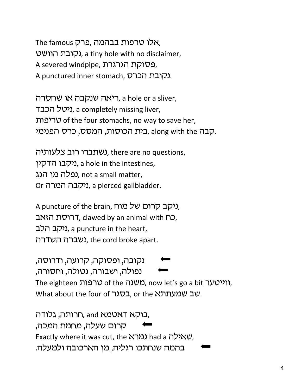The famous רבהמה, פרק, נקובת הוושט), a tiny hole with no disclaimer, A severed windpipe, הפסוקת הגרגרת A punctured inner stomach, נקובת הכרס.

ריאה שנקבה או שחסרה, a hole or a sliver, ניטל הכבד, a completely missing liver, ,uphry of the four stomachs, no way to save her, .קבה along with the ,בית הכוסות, המסס, כרס הפנימי

נשתברו רוב צלעותיה, there are no questions, ניקבו הדקין. a hole in the intestines, נפלה מן הגג), not a small matter, Or ניקבה המרה.), a pierced gallbladder.

A puncture of the brain, ניקב קרום של מוח, Cת הזאב, clawed by an animal with  $\Box$ , ניקב הלב. a puncture in the heart, נשברה השדרה. the cord broke apart.

'נקובה, ופסוקה, קרועה, ודרוסה, 'נפולה, ושבורה, נטולה, וחסורה, The eighteen *טרפ*ות of the *מ*שנה, now let's go a bit ווייטער, What about the four of בסגר, or the twhat about the tour of

בוקא דאטמא and, חרותה, גלודה, קרום שעלה, מחמת המכה, Exactly where it was cut, the גמרא had a שאילה, בהמה שנחתכו רגליה, מן הארכובה ולמעלה.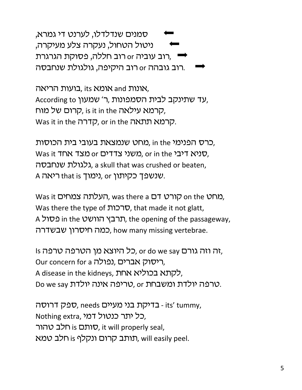סמנים שנדלדלו, לערנט די גמרא, ניטול הטחול, נעקרה צלע מעיקרה, חרב עוביה or רוב חללה, פסוקת הגרגרת " רוב גובהה or רוב היקיפה, גולגולת שנחבסה.

בועות הריאה, its אומא, and אונות, According to עד שתינקב לבית הסמפונות, ר׳ שמעון קרום של מוח, is it in the הרמא עילאה, Was it in the קדרה, or in the קרמא תתאה.

כרס הפנימי in the מחט שנמצאת בעובי בית הכוסות, Was it תוצד אחד or כאשני צדדים or מצד אחד), גלגולת שנחבסה, a skull that was crushed or beaten, A ריאה. that is נימוך, or אנשפך כקיתון.

Was it קורט דם, was there a העלתה צמחים, Was there the type of הרכות, that made it not glatt, A תרבץ הוושט in the תרבץ, the opening of the passageway, ,כמה חיסרון שבשדרה, how many missing vertebrae.

וב וזה גורם or do we say, כל היוצא מן הטרפה טרפה Is Our concern for a נפולה. A disease in the kidneys, לקתא בכוליא אחת Do we say טריפה אינה יולדת ומשבחת.

.its' tummy, ספק דרוסה - בדיקת בני מעיים, needs Nothing extra, כל יתר כנטול דמי סותם is חלב טהור, it will properly seal, תותב קרום ונקלף is חלב טמא, will easily peel.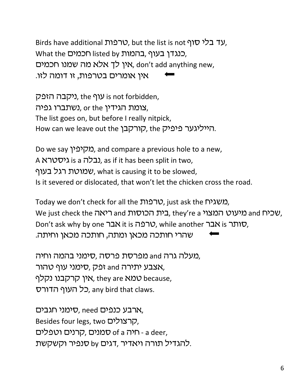Birds have additional *טרפ*ות, but the list is not  $\sigma$ יר, Cנגדו בעוף ,בהמות listed by הכמים What the אין לך אלא מה שמנו חכמים, don't add anything new, איו אומרים בטרפות, זו דומה לזו.

ניקבה הזפק), the *(י*קבה הזפק), the y צומת הגידין or the כשתברו גפיה, The list goes on, but before I really nitpick, How can we leave out the קורקבן, the הייליגער פיפיק,

Do we say *ומקיפין* and compare a previous hole to a new, A גיסטרא $i$  is a נבלה. as if it has been split in two, שמוטת רגל בעוף, what is causing it to be slowed, Is it severed or dislocated, that won't let the chicken cross the road.

Today we don't check for all the רבות, just ask the משגיח, We just check the ריאה and מיעוט המצוי they're a ,שכיח, and and Don't ask why by one שבר, while another ואבר, bon't ask why by one  $\Delta X$  it is  $\Delta Y$ , שהרי חותכה מכאן ומתה, חותכה מכאן וחיתה.

מעלה גרה and מפרסת פרסה ,סימני בהמה וחיה, אצבע יתירה and זפק, סימני עוף טהור, אין קרקבנו נקלף, they are אמא $\upsilon$  because, כל העוף הדורס, any bird that claws.

סימני חגבים, need ארבע כנפים, Besides four legs, two קרצולים, סמנים, קרנים וטפלים, סמנים of a יחיה - a deer, להגדיל תורה ויאדיר, דגים by סנפיר וקשקשת.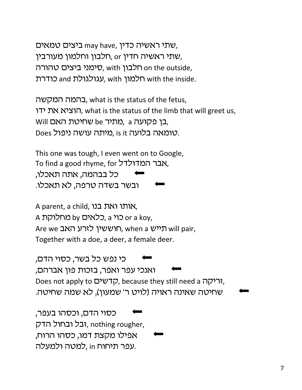שתי ראשיה כדין, may have, שתי ראשיה כדין, שתי ראשיה חדין or חלבון וחלמון מעורבין, סימני ביצים טהורה, with הלבון on the outside, , עגולגולת and הלמון with the inside.

בהמה המקשה, what is the status of the fetus, הוציא את ידו, what is the status of the limb that will greet us,  $N$ ובן פקועה a cעתיר be ברן פקועה, a בן ט Does טומאה בלועה. is it מיתה עושה ניפול.

This one was tough, I even went on to Google, To find a good rhyme, for רמדולדל, כל בבהמה, אתה תאכלו, ובשר בשדה טרפה, לא תאכלו.

A parent, a child, אותו ואת בנו, A כוי a ,כלאים by מחלוקת or a koy, Are we תוייש, when a הוששין לזרע האב Together with a doe, a deer, a female deer.

כי נפש כל בשר, כסוי הדם, 'ואנכי עפר ואפר, בזכות פון אברהם, Does not apply to הדשים, because they still need a יריקה, שחיטה שאינה ראויה (לויט ר' שמעון), לא שמה שחיטה.

כסוי הדם, וכסהו בעפר, ובל ובחול הדק, nothing rougher, אפילו מקצת דמו, כסהו הרוח, עפר תיחוח in למטה ולמעלה.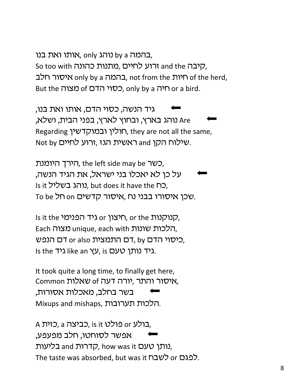בהמה by a נוהג only, אותו ואת בנו, So too with הרוע לחיים, מתנות כהונה and the הרוע בהמה a only by a רויות, not from the חיות, nof the herd, But the כסוי הדם of כאוה, only by a ריה or a bird.

גיד הנשה, כסוי הדם, אותו ואת בנו, והג בארץ, ובחוץ לארץ, בפני הבית, ושלא, Are Regarding חולין ובמוקדשין, they are not all the same, Not by שילוח הקן and ראשית הגז, זרוע לחיים.

ריך היומנת, the left side may be רשר, על כן לא יאכלו בני ישראל, את הגיד הנשה, Is it נוהג בשליל, but does it have the ה, To be רל on סאיסורו בבני נח, איסור קדשים.

Is it the הנוקנות, or the חיצון, or the ה Each הלכות שונות, unique, each with הלכות שונות, כיסוי הדם by רב, by כיסוי הדם, by כא Is the גיד נותן טעם is the גיד נותן.

It took quite a long time, to finally get here, Common איסור והתר, יורה דעה 6t שאלות, בשר בחלב, מאכלות אסורות, Mixups and mishaps, הלכות תערובות.

A בולע or כולט, a כביצה, אפשר לסוחטו, חלב מפעפע, נותן טעם and קדרות, how was it בליעות, The taste was absorbed, but was it לפגם or כשבח.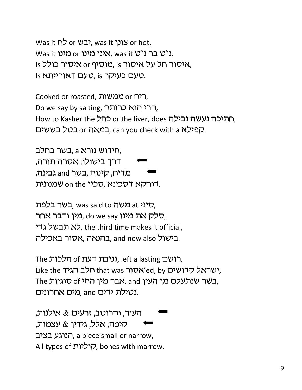Was it  $\Box$  or צונן, was it צונן, was it y שנו Was it ט׳ט בר נ״ט, was it נ"ט בר נ Is איסור חל על איסור is מוסיף or איסור כולל, Is טעם כעיקר is טעם דאורייתא.

Cooked or roasted, ריח or הא Do we say by salting, הרי הוא כרותח, How to Kasher the CND or the liver, does החתיכה נעשה נבילה, במאה or בטל בששים, can you check with a הפילא.

חידוש נורא a בשר בחלב, דרך בישולו, אסרה תורה, מדיח, קינוח ,בשר and גבינה, דוחקא דסכינא, סכין on the שמנונית.

, סיני at משה was said to כמשה, סלק את מינו do we say ,כ*ו*ין ודבר אחר, לא תבשל גדי, the third time makes it official, בישול and now also בהנאה, אסור באכילה.

The הישם, left a lasting גניבת דעת, Like the הלב הגיד, that was תלב הגיד she the the The הבשר שנתעלם מן העין and ,אבר מין החי נטילת ידים and מים אחרונים.

העור, והרוטב, זרעים  $\&$  אילנות, קיפה, אלל, גידין & עצמות, הנוגע בציב, a piece small or narrow, All types of קוליות, bones with marrow.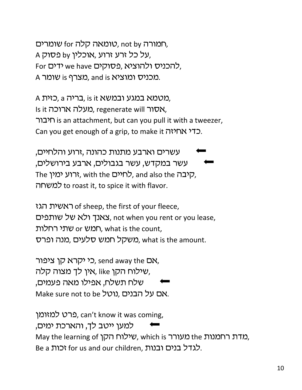שומרים, not by טומאה קלה, A על כל זרע זרוע, אוכלין by (על כל א For להכניס ולהוציא, פסוקים we have A מכניס ומוציא and is מצרף is שומר.

A בריה a כזית, is it בריה, a כזית), Is it אסור ווא regenerate will, מעלה ארוכה, רבור is an attachment, but can you pull it with a tweezer, Can you get enough of a grip, to make it MMM.

עשרים וארבע מתנות כהונה ,זרוע והלחיים, עשר במקדש, עשר בגבולים, ארבע בירושלים, The לחיים, with the לחיים, and also the היבה, to roast it, to spice it with flavor.

ראשית הגז of sheep, the first of your fleece, צאנך ולא של שותפים, not when you rent or you lease, חמש or חמש), what is the count, משקל חמש סלעים, what is the amount.

כי יקרא קן ציפור, send away the DN, שילוח הקן אין לך מצוה קלה, like שילוח שלח תשלח, אפילו מאה פעמים, Make sure not to be נוטל, נוטל, הבנים

פרט למזומן. can't know it was coming, למען ייטב לך, והארכת ימים, May the learning of שילוח הקן which is מדת רחמנות, Be a לגדל בנים ובנות. for us and our children זכות